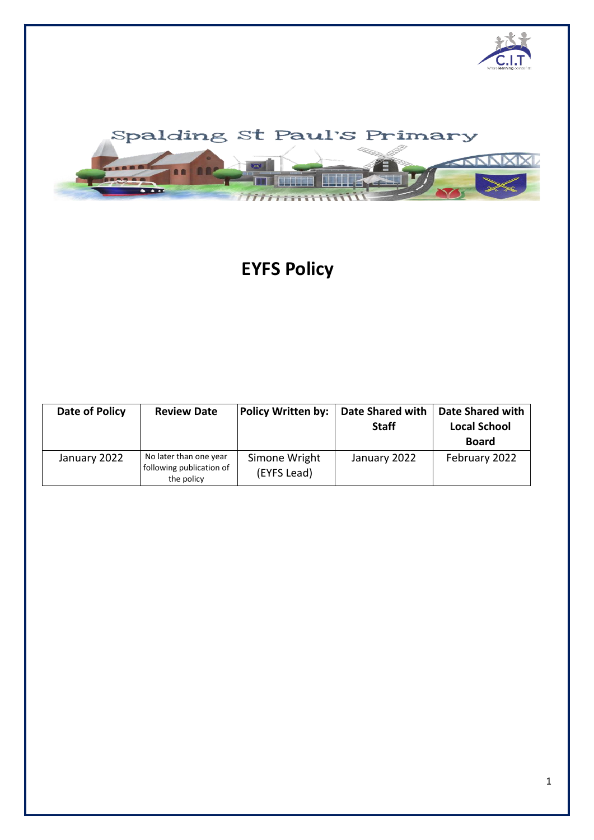



# **EYFS Policy**

| Date of Policy | <b>Review Date</b>                                               | <b>Policy Written by:</b>    | <b>Date Shared with</b><br><b>Staff</b> | <b>Date Shared with</b><br><b>Local School</b><br><b>Board</b> |
|----------------|------------------------------------------------------------------|------------------------------|-----------------------------------------|----------------------------------------------------------------|
| January 2022   | No later than one year<br>following publication of<br>the policy | Simone Wright<br>(EYFS Lead) | January 2022                            | February 2022                                                  |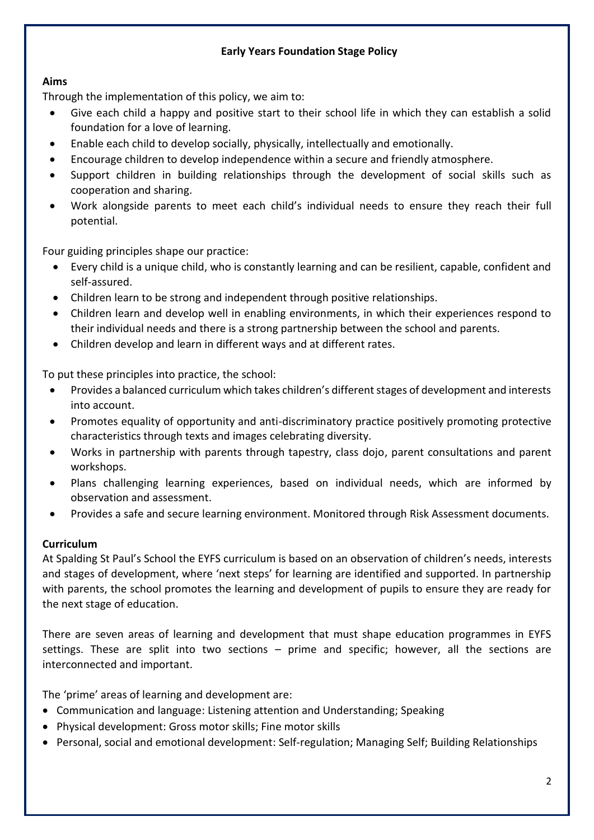# **Early Years Foundation Stage Policy**

## **Aims**

Through the implementation of this policy, we aim to:

- Give each child a happy and positive start to their school life in which they can establish a solid foundation for a love of learning.
- Enable each child to develop socially, physically, intellectually and emotionally.
- Encourage children to develop independence within a secure and friendly atmosphere.
- Support children in building relationships through the development of social skills such as cooperation and sharing.
- Work alongside parents to meet each child's individual needs to ensure they reach their full potential.

Four guiding principles shape our practice:

- Every child is a unique child, who is constantly learning and can be resilient, capable, confident and self-assured.
- Children learn to be strong and independent through positive relationships.
- Children learn and develop well in enabling environments, in which their experiences respond to their individual needs and there is a strong partnership between the school and parents.
- Children develop and learn in different ways and at different rates.

To put these principles into practice, the school:

- Provides a balanced curriculum which takes children's different stages of development and interests into account.
- Promotes equality of opportunity and anti-discriminatory practice positively promoting protective characteristics through texts and images celebrating diversity.
- Works in partnership with parents through tapestry, class dojo, parent consultations and parent workshops.
- Plans challenging learning experiences, based on individual needs, which are informed by observation and assessment.
- Provides a safe and secure learning environment. Monitored through Risk Assessment documents.

#### **Curriculum**

At Spalding St Paul's School the EYFS curriculum is based on an observation of children's needs, interests and stages of development, where 'next steps' for learning are identified and supported. In partnership with parents, the school promotes the learning and development of pupils to ensure they are ready for the next stage of education.

There are seven areas of learning and development that must shape education programmes in EYFS settings. These are split into two sections – prime and specific; however, all the sections are interconnected and important.

The 'prime' areas of learning and development are:

- Communication and language: Listening attention and Understanding; Speaking
- Physical development: Gross motor skills; Fine motor skills
- Personal, social and emotional development: Self-regulation; Managing Self; Building Relationships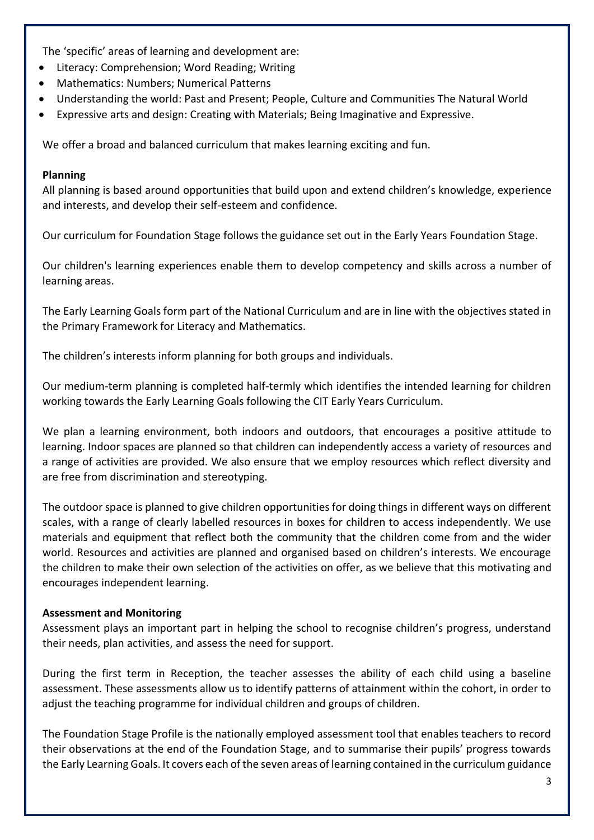The 'specific' areas of learning and development are:

- Literacy: Comprehension; Word Reading; Writing
- Mathematics: Numbers; Numerical Patterns
- Understanding the world: Past and Present; People, Culture and Communities The Natural World
- Expressive arts and design: Creating with Materials; Being Imaginative and Expressive.

We offer a broad and balanced curriculum that makes learning exciting and fun.

## **Planning**

All planning is based around opportunities that build upon and extend children's knowledge, experience and interests, and develop their self-esteem and confidence.

Our curriculum for Foundation Stage follows the guidance set out in the Early Years Foundation Stage.

Our children's learning experiences enable them to develop competency and skills across a number of learning areas.

The Early Learning Goals form part of the National Curriculum and are in line with the objectives stated in the Primary Framework for Literacy and Mathematics.

The children's interests inform planning for both groups and individuals.

Our medium-term planning is completed half-termly which identifies the intended learning for children working towards the Early Learning Goals following the CIT Early Years Curriculum.

We plan a learning environment, both indoors and outdoors, that encourages a positive attitude to learning. Indoor spaces are planned so that children can independently access a variety of resources and a range of activities are provided. We also ensure that we employ resources which reflect diversity and are free from discrimination and stereotyping.

The outdoor space is planned to give children opportunities for doing things in different ways on different scales, with a range of clearly labelled resources in boxes for children to access independently. We use materials and equipment that reflect both the community that the children come from and the wider world. Resources and activities are planned and organised based on children's interests. We encourage the children to make their own selection of the activities on offer, as we believe that this motivating and encourages independent learning.

## **Assessment and Monitoring**

Assessment plays an important part in helping the school to recognise children's progress, understand their needs, plan activities, and assess the need for support.

During the first term in Reception, the teacher assesses the ability of each child using a baseline assessment. These assessments allow us to identify patterns of attainment within the cohort, in order to adjust the teaching programme for individual children and groups of children.

The Foundation Stage Profile is the nationally employed assessment tool that enables teachers to record their observations at the end of the Foundation Stage, and to summarise their pupils' progress towards the Early Learning Goals. It covers each of the seven areas of learning contained in the curriculum guidance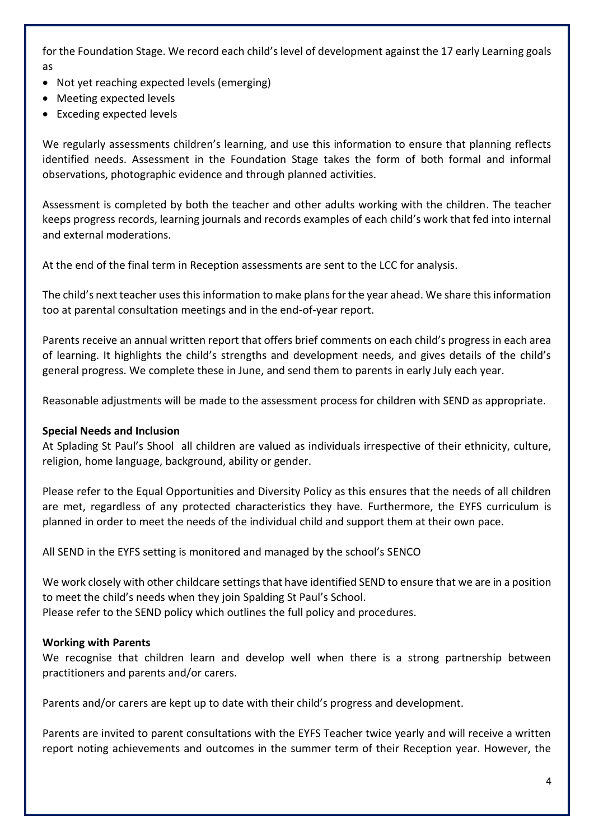for the Foundation Stage. We record each child's level of development against the 17 early Learning goals as

- Not yet reaching expected levels (emerging)
- Meeting expected levels
- Exceding expected levels

We regularly assessments children's learning, and use this information to ensure that planning reflects identified needs. Assessment in the Foundation Stage takes the form of both formal and informal observations, photographic evidence and through planned activities.

Assessment is completed by both the teacher and other adults working with the children. The teacher keeps progress records, learning journals and records examples of each child's work that fed into internal and external moderations.

At the end of the final term in Reception assessments are sent to the LCC for analysis.

The child's next teacher uses this information to make plans for the year ahead. We share this information too at parental consultation meetings and in the end-of-year report.

Parents receive an annual written report that offers brief comments on each child's progress in each area of learning. It highlights the child's strengths and development needs, and gives details of the child's general progress. We complete these in June, and send them to parents in early July each year.

Reasonable adjustments will be made to the assessment process for children with SEND as appropriate.

#### **Special Needs and Inclusion**

At Splading St Paul's Shool all children are valued as individuals irrespective of their ethnicity, culture, religion, home language, background, ability or gender.

Please refer to the Equal Opportunities and Diversity Policy as this ensures that the needs of all children are met, regardless of any protected characteristics they have. Furthermore, the EYFS curriculum is planned in order to meet the needs of the individual child and support them at their own pace.

All SEND in the EYFS setting is monitored and managed by the school's SENCO

We work closely with other childcare settings that have identified SEND to ensure that we are in a position to meet the child's needs when they join Spalding St Paul's School. Please refer to the SEND policy which outlines the full policy and procedures.

#### **Working with Parents**

We recognise that children learn and develop well when there is a strong partnership between practitioners and parents and/or carers.

Parents and/or carers are kept up to date with their child's progress and development.

Parents are invited to parent consultations with the EYFS Teacher twice yearly and will receive a written report noting achievements and outcomes in the summer term of their Reception year. However, the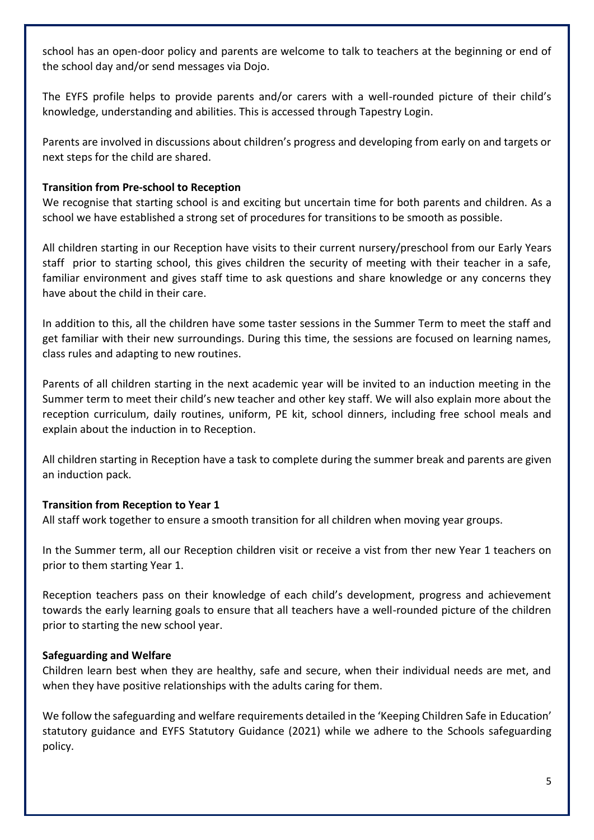school has an open-door policy and parents are welcome to talk to teachers at the beginning or end of the school day and/or send messages via Dojo.

The EYFS profile helps to provide parents and/or carers with a well-rounded picture of their child's knowledge, understanding and abilities. This is accessed through Tapestry Login.

Parents are involved in discussions about children's progress and developing from early on and targets or next steps for the child are shared.

## **Transition from Pre-school to Reception**

We recognise that starting school is and exciting but uncertain time for both parents and children. As a school we have established a strong set of procedures for transitions to be smooth as possible.

All children starting in our Reception have visits to their current nursery/preschool from our Early Years staff prior to starting school, this gives children the security of meeting with their teacher in a safe, familiar environment and gives staff time to ask questions and share knowledge or any concerns they have about the child in their care.

In addition to this, all the children have some taster sessions in the Summer Term to meet the staff and get familiar with their new surroundings. During this time, the sessions are focused on learning names, class rules and adapting to new routines.

Parents of all children starting in the next academic year will be invited to an induction meeting in the Summer term to meet their child's new teacher and other key staff. We will also explain more about the reception curriculum, daily routines, uniform, PE kit, school dinners, including free school meals and explain about the induction in to Reception.

All children starting in Reception have a task to complete during the summer break and parents are given an induction pack.

## **Transition from Reception to Year 1**

All staff work together to ensure a smooth transition for all children when moving year groups.

In the Summer term, all our Reception children visit or receive a vist from ther new Year 1 teachers on prior to them starting Year 1.

Reception teachers pass on their knowledge of each child's development, progress and achievement towards the early learning goals to ensure that all teachers have a well-rounded picture of the children prior to starting the new school year.

## **Safeguarding and Welfare**

Children learn best when they are healthy, safe and secure, when their individual needs are met, and when they have positive relationships with the adults caring for them.

We follow the safeguarding and welfare requirements detailed in the 'Keeping Children Safe in Education' statutory guidance and EYFS Statutory Guidance (2021) while we adhere to the Schools safeguarding policy.